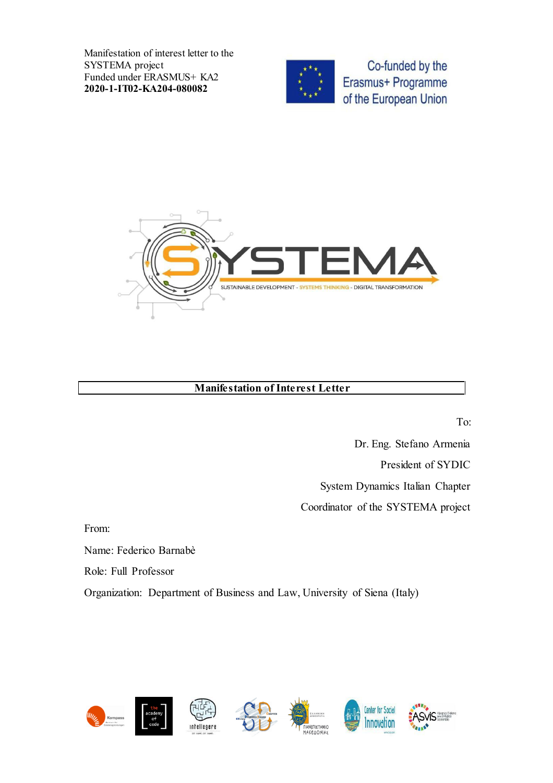Manifestation of interest letter to the SYSTEMA project Funded under ERASMUS+ KA2 2020-1-IT02-KA204-080082



Co-funded by the Erasmus+ Programme of the European Union



## Manifestation of Interest Letter

To:

Dr. Eng. Stefano Armenia President of SYDIC System Dynamics Italian Chapter Coordinator of the SYSTEMA project

From:

Name: Federico Barnabè

Role: Full Professor

Organization: Department of Business and Law, University of Siena (Italy)

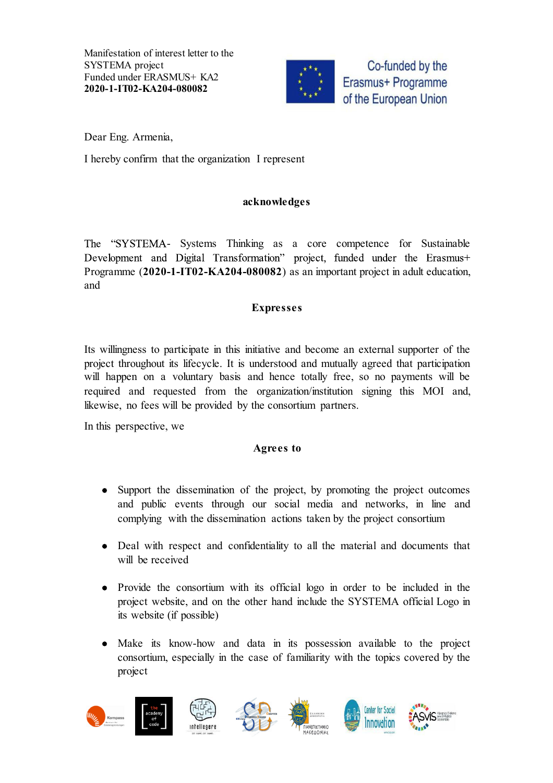Manifestation of interest letter to the SYSTEMA project Funded under ERASMUS+ KA2 2020-1-IT02-KA204-080082



Co-funded by the Erasmus+ Programme of the European Union

Dear Eng. Armenia,

I hereby confirm that the organization I represent

### acknowledges

The "SYSTEMA- Systems Thinking as a core competence for Sustainable Development and Digital Transformation" project, funded under the Erasmus+ Programme (2020-1-IT02-KA204-080082) as an important project in adult education, and

## Expresses

Its willingness to participate in this initiative and become an external supporter of the project throughout its lifecycle. It is understood and mutually agreed that participation will happen on a voluntary basis and hence totally free, so no payments will be required and requested from the organization/institution signing this MOI and, likewise, no fees will be provided by the consortium partners.

In this perspective, we

#### Agrees to

- Support the dissemination of the project, by promoting the project outcomes and public events through our social media and networks, in line and complying with the dissemination actions taken by the project consortium
- Deal with respect and confidentiality to all the material and documents that will be received
- Provide the consortium with its official logo in order to be included in the project website, and on the other hand include the SYSTEMA official Logo in its website (if possible)
- Make its know-how and data in its possession available to the project  $\bullet$ consortium, especially in the case of familiarity with the topics covered by the project

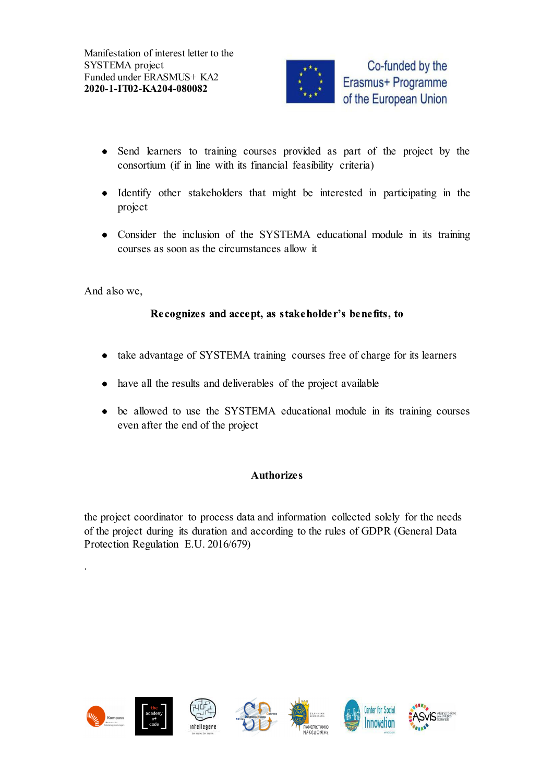

- Send learners to training courses provided as part of the project by the consortium (if in line with its financial feasibility criteria)
- Identify other stakeholders that might be interested in participating in the project
- Consider the inclusion of the SYSTEMA educational module in its training courses as soon as the circumstances allow it

And also we,

.

## Recognizes and accept, as stakeholder's benefits, to

- take advantage of SYSTEMA training courses free of charge for its learners
- have all the results and deliverables of the project available
- be allowed to use the SYSTEMA educational module in its training courses even after the end of the project

# **Authorizes**

the project coordinator to process data and information collected solely for the needs of the project during its duration and according to the rules of GDPR (General Data Protection Regulation E.U. 2016/679)